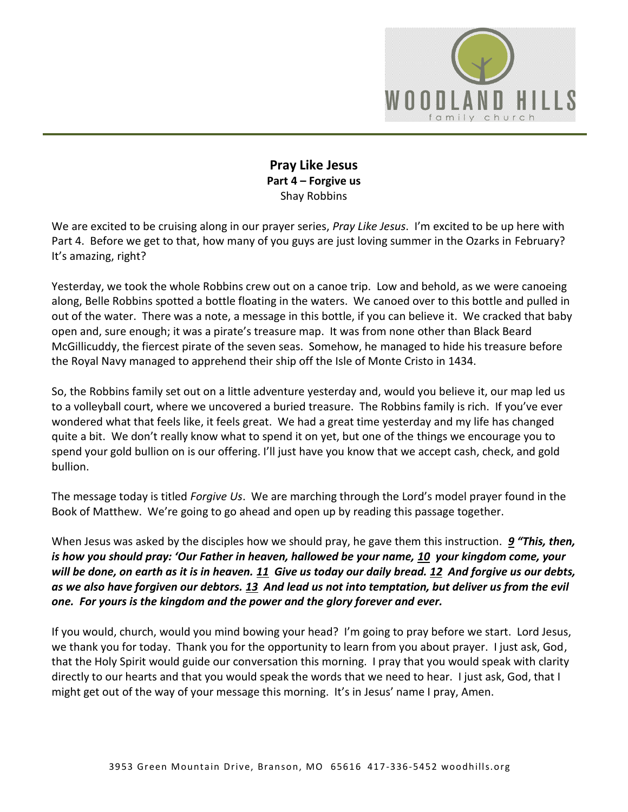

# **Pray Like Jesus Part 4 – Forgive us**  Shay Robbins

We are excited to be cruising along in our prayer series, *Pray Like Jesus*. I'm excited to be up here with Part 4. Before we get to that, how many of you guys are just loving summer in the Ozarks in February? It's amazing, right?

Yesterday, we took the whole Robbins crew out on a canoe trip. Low and behold, as we were canoeing along, Belle Robbins spotted a bottle floating in the waters. We canoed over to this bottle and pulled in out of the water. There was a note, a message in this bottle, if you can believe it. We cracked that baby open and, sure enough; it was a pirate's treasure map. It was from none other than Black Beard McGillicuddy, the fiercest pirate of the seven seas. Somehow, he managed to hide his treasure before the Royal Navy managed to apprehend their ship off the Isle of Monte Cristo in 1434.

So, the Robbins family set out on a little adventure yesterday and, would you believe it, our map led us to a volleyball court, where we uncovered a buried treasure. The Robbins family is rich. If you've ever wondered what that feels like, it feels great. We had a great time yesterday and my life has changed quite a bit. We don't really know what to spend it on yet, but one of the things we encourage you to spend your gold bullion on is our offering. I'll just have you know that we accept cash, check, and gold bullion.

The message today is titled *Forgive Us*. We are marching through the Lord's model prayer found in the Book of Matthew. We're going to go ahead and open up by reading this passage together.

When Jesus was asked by the disciples how we should pray, he gave them this instruction. *[9](http://www.studylight.org/desk/?q=mt%206:9&t1=en_niv&sr=1) "This, then, is how you should pray: 'Our Father in heaven, hallowed be your name, [10](http://www.studylight.org/desk/?q=mt%206:10&t1=en_niv&sr=1) your kingdom come, your will be done, on earth as it is in heaven. [11](http://www.studylight.org/desk/?q=mt%206:11&t1=en_niv&sr=1) Give us today our daily bread. [12](http://www.studylight.org/desk/?q=mt%206:12&t1=en_niv&sr=1) And forgive us our debts, as we also have forgiven our debtors. [13](http://www.studylight.org/desk/?q=mt%206:13&t1=en_niv&sr=1) And lead us not into temptation, but deliver us from the evil one. For yours is the kingdom and the power and the glory forever and ever.*

If you would, church, would you mind bowing your head? I'm going to pray before we start. Lord Jesus, we thank you for today. Thank you for the opportunity to learn from you about prayer. I just ask, God, that the Holy Spirit would guide our conversation this morning. I pray that you would speak with clarity directly to our hearts and that you would speak the words that we need to hear. I just ask, God, that I might get out of the way of your message this morning. It's in Jesus' name I pray, Amen.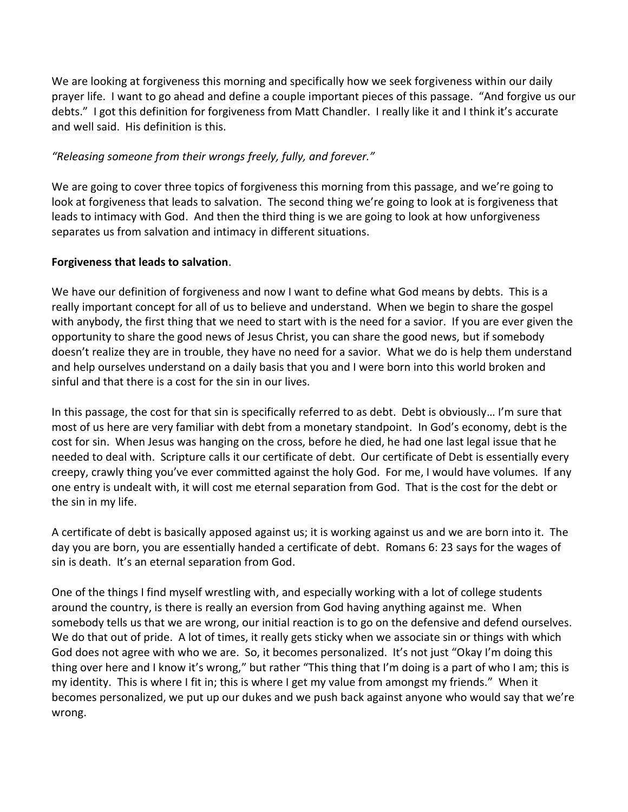We are looking at forgiveness this morning and specifically how we seek forgiveness within our daily prayer life. I want to go ahead and define a couple important pieces of this passage. "And forgive us our debts." I got this definition for forgiveness from Matt Chandler. I really like it and I think it's accurate and well said. His definition is this.

## *"Releasing someone from their wrongs freely, fully, and forever."*

We are going to cover three topics of forgiveness this morning from this passage, and we're going to look at forgiveness that leads to salvation. The second thing we're going to look at is forgiveness that leads to intimacy with God. And then the third thing is we are going to look at how unforgiveness separates us from salvation and intimacy in different situations.

## **Forgiveness that leads to salvation**.

We have our definition of forgiveness and now I want to define what God means by debts. This is a really important concept for all of us to believe and understand. When we begin to share the gospel with anybody, the first thing that we need to start with is the need for a savior. If you are ever given the opportunity to share the good news of Jesus Christ, you can share the good news, but if somebody doesn't realize they are in trouble, they have no need for a savior. What we do is help them understand and help ourselves understand on a daily basis that you and I were born into this world broken and sinful and that there is a cost for the sin in our lives.

In this passage, the cost for that sin is specifically referred to as debt. Debt is obviously… I'm sure that most of us here are very familiar with debt from a monetary standpoint. In God's economy, debt is the cost for sin. When Jesus was hanging on the cross, before he died, he had one last legal issue that he needed to deal with. Scripture calls it our certificate of debt. Our certificate of Debt is essentially every creepy, crawly thing you've ever committed against the holy God. For me, I would have volumes. If any one entry is undealt with, it will cost me eternal separation from God. That is the cost for the debt or the sin in my life.

A certificate of debt is basically apposed against us; it is working against us and we are born into it. The day you are born, you are essentially handed a certificate of debt. Romans 6: 23 says for the wages of sin is death. It's an eternal separation from God.

One of the things I find myself wrestling with, and especially working with a lot of college students around the country, is there is really an eversion from God having anything against me. When somebody tells us that we are wrong, our initial reaction is to go on the defensive and defend ourselves. We do that out of pride. A lot of times, it really gets sticky when we associate sin or things with which God does not agree with who we are. So, it becomes personalized. It's not just "Okay I'm doing this thing over here and I know it's wrong," but rather "This thing that I'm doing is a part of who I am; this is my identity. This is where I fit in; this is where I get my value from amongst my friends." When it becomes personalized, we put up our dukes and we push back against anyone who would say that we're wrong.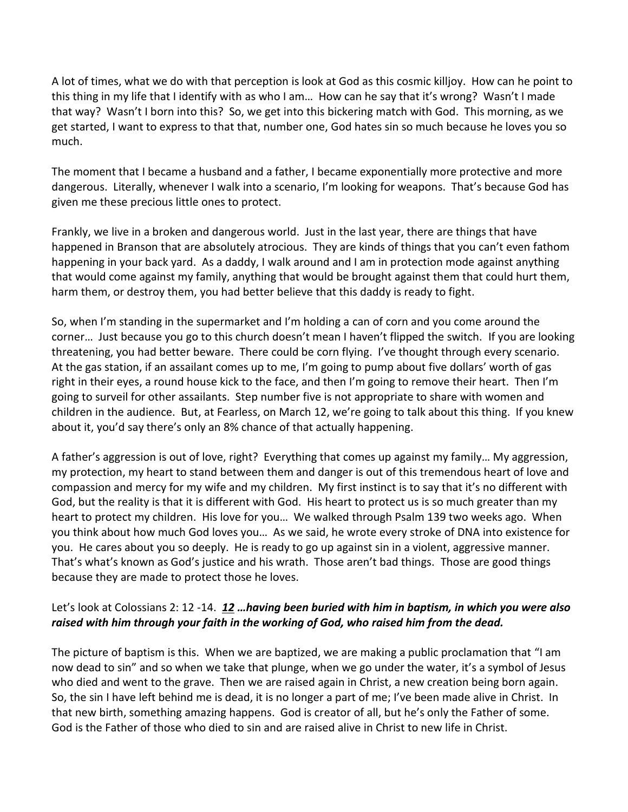A lot of times, what we do with that perception is look at God as this cosmic killjoy. How can he point to this thing in my life that I identify with as who I am… How can he say that it's wrong? Wasn't I made that way? Wasn't I born into this? So, we get into this bickering match with God. This morning, as we get started, I want to express to that that, number one, God hates sin so much because he loves you so much.

The moment that I became a husband and a father, I became exponentially more protective and more dangerous. Literally, whenever I walk into a scenario, I'm looking for weapons. That's because God has given me these precious little ones to protect.

Frankly, we live in a broken and dangerous world. Just in the last year, there are things that have happened in Branson that are absolutely atrocious. They are kinds of things that you can't even fathom happening in your back yard. As a daddy, I walk around and I am in protection mode against anything that would come against my family, anything that would be brought against them that could hurt them, harm them, or destroy them, you had better believe that this daddy is ready to fight.

So, when I'm standing in the supermarket and I'm holding a can of corn and you come around the corner… Just because you go to this church doesn't mean I haven't flipped the switch. If you are looking threatening, you had better beware. There could be corn flying. I've thought through every scenario. At the gas station, if an assailant comes up to me, I'm going to pump about five dollars' worth of gas right in their eyes, a round house kick to the face, and then I'm going to remove their heart. Then I'm going to surveil for other assailants. Step number five is not appropriate to share with women and children in the audience. But, at Fearless, on March 12, we're going to talk about this thing. If you knew about it, you'd say there's only an 8% chance of that actually happening.

A father's aggression is out of love, right? Everything that comes up against my family… My aggression, my protection, my heart to stand between them and danger is out of this tremendous heart of love and compassion and mercy for my wife and my children. My first instinct is to say that it's no different with God, but the reality is that it is different with God. His heart to protect us is so much greater than my heart to protect my children. His love for you… We walked through Psalm 139 two weeks ago. When you think about how much God loves you… As we said, he wrote every stroke of DNA into existence for you. He cares about you so deeply. He is ready to go up against sin in a violent, aggressive manner. That's what's known as God's justice and his wrath. Those aren't bad things. Those are good things because they are made to protect those he loves.

# Let's look at Colossians 2: 12 -14. *[12](http://www.studylight.org/desk/?q=col%202:12&t1=en_niv&sr=1) …having been buried with him in baptism, in which you were also raised with him through your faith in the working of God, who raised him from the dead.*

The picture of baptism is this. When we are baptized, we are making a public proclamation that "I am now dead to sin" and so when we take that plunge, when we go under the water, it's a symbol of Jesus who died and went to the grave. Then we are raised again in Christ, a new creation being born again. So, the sin I have left behind me is dead, it is no longer a part of me; I've been made alive in Christ. In that new birth, something amazing happens. God is creator of all, but he's only the Father of some. God is the Father of those who died to sin and are raised alive in Christ to new life in Christ.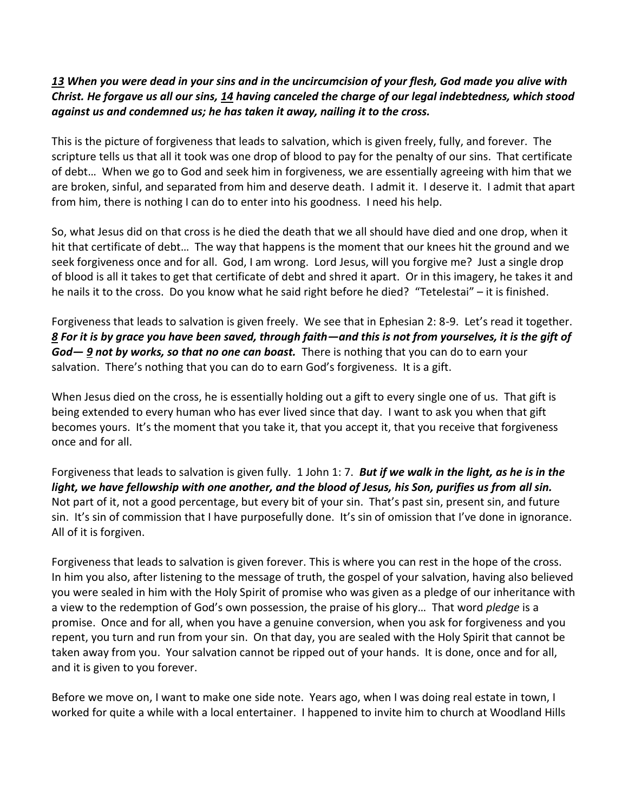#### *[13](http://www.studylight.org/desk/?q=col%202:13&t1=en_niv&sr=1) When you were dead in your sins and in the uncircumcision of your flesh, God made you alive with Christ. He forgave us all our sins, [14](http://www.studylight.org/desk/?q=col%202:14&t1=en_niv&sr=1) having canceled the charge of our legal indebtedness, which stood against us and condemned us; he has taken it away, nailing it to the cross.*

This is the picture of forgiveness that leads to salvation, which is given freely, fully, and forever. The scripture tells us that all it took was one drop of blood to pay for the penalty of our sins. That certificate of debt… When we go to God and seek him in forgiveness, we are essentially agreeing with him that we are broken, sinful, and separated from him and deserve death. I admit it. I deserve it. I admit that apart from him, there is nothing I can do to enter into his goodness. I need his help.

So, what Jesus did on that cross is he died the death that we all should have died and one drop, when it hit that certificate of debt… The way that happens is the moment that our knees hit the ground and we seek forgiveness once and for all. God, I am wrong. Lord Jesus, will you forgive me? Just a single drop of blood is all it takes to get that certificate of debt and shred it apart. Or in this imagery, he takes it and he nails it to the cross. Do you know what he said right before he died? "Tetelestai" – it is finished.

Forgiveness that leads to salvation is given freely. We see that in Ephesian 2: 8-9. Let's read it together. *[8](http://www.studylight.org/desk/?q=eph%202:8&t1=en_niv&sr=1) For it is by grace you have been saved, through faith—and this is not from yourselves, it is the gift of*  God-9 not by works, so that no one can boast. There is nothing that you can do to earn your salvation. There's nothing that you can do to earn God's forgiveness. It is a gift.

When Jesus died on the cross, he is essentially holding out a gift to every single one of us. That gift is being extended to every human who has ever lived since that day. I want to ask you when that gift becomes yours. It's the moment that you take it, that you accept it, that you receive that forgiveness once and for all.

Forgiveness that leads to salvation is given fully. 1 John 1: 7. *But if we walk in the light, as he is in the light, we have fellowship with one another, and the blood of Jesus, his Son, purifies us from all sin.* Not part of it, not a good percentage, but every bit of your sin. That's past sin, present sin, and future sin. It's sin of commission that I have purposefully done. It's sin of omission that I've done in ignorance. All of it is forgiven.

Forgiveness that leads to salvation is given forever. This is where you can rest in the hope of the cross. In him you also, after listening to the message of truth, the gospel of your salvation, having also believed you were sealed in him with the Holy Spirit of promise who was given as a pledge of our inheritance with a view to the redemption of God's own possession, the praise of his glory… That word *pledge* is a promise. Once and for all, when you have a genuine conversion, when you ask for forgiveness and you repent, you turn and run from your sin. On that day, you are sealed with the Holy Spirit that cannot be taken away from you. Your salvation cannot be ripped out of your hands. It is done, once and for all, and it is given to you forever.

Before we move on, I want to make one side note. Years ago, when I was doing real estate in town, I worked for quite a while with a local entertainer. I happened to invite him to church at Woodland Hills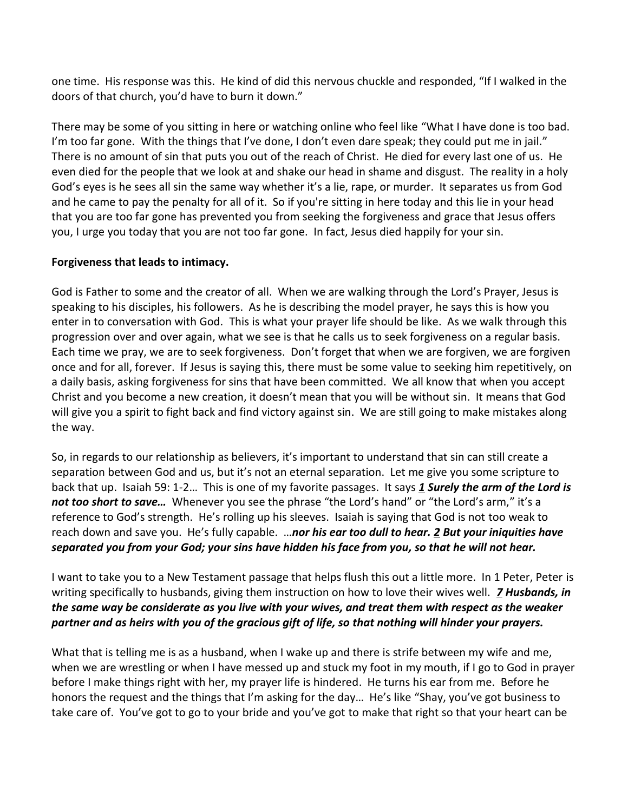one time. His response was this. He kind of did this nervous chuckle and responded, "If I walked in the doors of that church, you'd have to burn it down."

There may be some of you sitting in here or watching online who feel like "What I have done is too bad. I'm too far gone. With the things that I've done, I don't even dare speak; they could put me in jail." There is no amount of sin that puts you out of the reach of Christ. He died for every last one of us. He even died for the people that we look at and shake our head in shame and disgust. The reality in a holy God's eyes is he sees all sin the same way whether it's a lie, rape, or murder. It separates us from God and he came to pay the penalty for all of it. So if you're sitting in here today and this lie in your head that you are too far gone has prevented you from seeking the forgiveness and grace that Jesus offers you, I urge you today that you are not too far gone. In fact, Jesus died happily for your sin.

#### **Forgiveness that leads to intimacy.**

God is Father to some and the creator of all. When we are walking through the Lord's Prayer, Jesus is speaking to his disciples, his followers. As he is describing the model prayer, he says this is how you enter in to conversation with God. This is what your prayer life should be like. As we walk through this progression over and over again, what we see is that he calls us to seek forgiveness on a regular basis. Each time we pray, we are to seek forgiveness. Don't forget that when we are forgiven, we are forgiven once and for all, forever. If Jesus is saying this, there must be some value to seeking him repetitively, on a daily basis, asking forgiveness for sins that have been committed. We all know that when you accept Christ and you become a new creation, it doesn't mean that you will be without sin. It means that God will give you a spirit to fight back and find victory against sin. We are still going to make mistakes along the way.

So, in regards to our relationship as believers, it's important to understand that sin can still create a separation between God and us, but it's not an eternal separation. Let me give you some scripture to back that up. Isaiah 59: 1-2… This is one of my favorite passages. It says *[1](http://www.studylight.org/desk/?q=isa%2059:1&t1=en_niv&sr=1) Surely the arm of the Lord is not too short to save…* Whenever you see the phrase "the Lord's hand" or "the Lord's arm," it's a reference to God's strength. He's rolling up his sleeves. Isaiah is saying that God is not too weak to reach down and save you. He's fully capable. …*nor his ear too dull to hear. [2](http://www.studylight.org/desk/?q=isa%2059:2&t1=en_niv&sr=1) But your iniquities have separated you from your God; your sins have hidden his face from you, so that he will not hear.*

I want to take you to a New Testament passage that helps flush this out a little more. In 1 Peter, Peter is writing specifically to husbands, giving them instruction on how to love their wives well. *[7](http://www.studylight.org/desk/?q=1pe%203:7&t1=en_niv&sr=1) Husbands, in the same way be considerate as you live with your wives, and treat them with respect as the weaker partner and as heirs with you of the gracious gift of life, so that nothing will hinder your prayers.*

What that is telling me is as a husband, when I wake up and there is strife between my wife and me, when we are wrestling or when I have messed up and stuck my foot in my mouth, if I go to God in prayer before I make things right with her, my prayer life is hindered. He turns his ear from me. Before he honors the request and the things that I'm asking for the day… He's like "Shay, you've got business to take care of. You've got to go to your bride and you've got to make that right so that your heart can be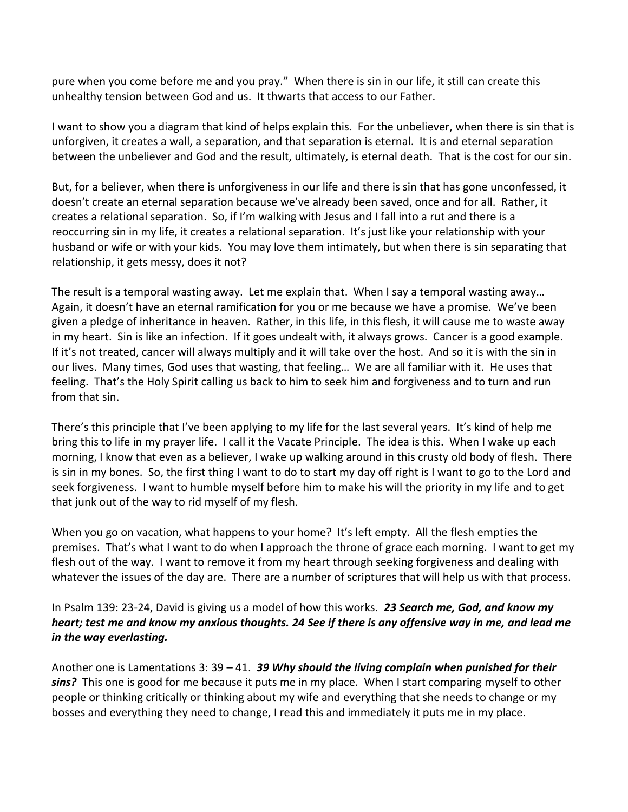pure when you come before me and you pray." When there is sin in our life, it still can create this unhealthy tension between God and us. It thwarts that access to our Father.

I want to show you a diagram that kind of helps explain this. For the unbeliever, when there is sin that is unforgiven, it creates a wall, a separation, and that separation is eternal. It is and eternal separation between the unbeliever and God and the result, ultimately, is eternal death. That is the cost for our sin.

But, for a believer, when there is unforgiveness in our life and there is sin that has gone unconfessed, it doesn't create an eternal separation because we've already been saved, once and for all. Rather, it creates a relational separation. So, if I'm walking with Jesus and I fall into a rut and there is a reoccurring sin in my life, it creates a relational separation. It's just like your relationship with your husband or wife or with your kids. You may love them intimately, but when there is sin separating that relationship, it gets messy, does it not?

The result is a temporal wasting away. Let me explain that. When I say a temporal wasting away… Again, it doesn't have an eternal ramification for you or me because we have a promise. We've been given a pledge of inheritance in heaven. Rather, in this life, in this flesh, it will cause me to waste away in my heart. Sin is like an infection. If it goes undealt with, it always grows. Cancer is a good example. If it's not treated, cancer will always multiply and it will take over the host. And so it is with the sin in our lives. Many times, God uses that wasting, that feeling… We are all familiar with it. He uses that feeling. That's the Holy Spirit calling us back to him to seek him and forgiveness and to turn and run from that sin.

There's this principle that I've been applying to my life for the last several years. It's kind of help me bring this to life in my prayer life. I call it the Vacate Principle. The idea is this. When I wake up each morning, I know that even as a believer, I wake up walking around in this crusty old body of flesh. There is sin in my bones. So, the first thing I want to do to start my day off right is I want to go to the Lord and seek forgiveness. I want to humble myself before him to make his will the priority in my life and to get that junk out of the way to rid myself of my flesh.

When you go on vacation, what happens to your home? It's left empty. All the flesh empties the premises. That's what I want to do when I approach the throne of grace each morning. I want to get my flesh out of the way. I want to remove it from my heart through seeking forgiveness and dealing with whatever the issues of the day are. There are a number of scriptures that will help us with that process.

## In Psalm 139: 23-24, David is giving us a model of how this works. *[23](http://www.studylight.org/desk/?q=ps%20139:23&t1=en_niv&sr=1) Search me, God, and know my heart; test me and know my anxious thoughts. [24](http://www.studylight.org/desk/?q=ps%20139:24&t1=en_niv&sr=1) See if there is any offensive way in me, and lead me in the way everlasting.*

Another one is Lamentations 3: 39 – 41. *[39](http://www.studylight.org/desk/?q=la%203:39&t1=en_niv&sr=1) Why should the living complain when punished for their sins?* This one is good for me because it puts me in my place. When I start comparing myself to other people or thinking critically or thinking about my wife and everything that she needs to change or my bosses and everything they need to change, I read this and immediately it puts me in my place.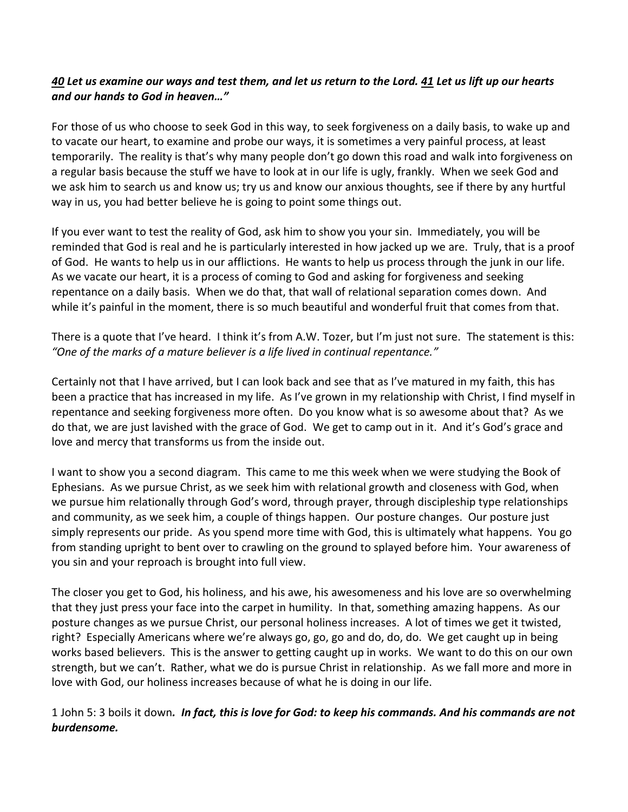## *[40](http://www.studylight.org/desk/?q=la%203:40&t1=en_niv&sr=1) Let us examine our ways and test them, and let us return to the Lord[. 41](http://www.studylight.org/desk/?q=la%203:41&t1=en_niv&sr=1) Let us lift up our hearts and our hands to God in heaven…"*

For those of us who choose to seek God in this way, to seek forgiveness on a daily basis, to wake up and to vacate our heart, to examine and probe our ways, it is sometimes a very painful process, at least temporarily. The reality is that's why many people don't go down this road and walk into forgiveness on a regular basis because the stuff we have to look at in our life is ugly, frankly. When we seek God and we ask him to search us and know us; try us and know our anxious thoughts, see if there by any hurtful way in us, you had better believe he is going to point some things out.

If you ever want to test the reality of God, ask him to show you your sin. Immediately, you will be reminded that God is real and he is particularly interested in how jacked up we are. Truly, that is a proof of God. He wants to help us in our afflictions. He wants to help us process through the junk in our life. As we vacate our heart, it is a process of coming to God and asking for forgiveness and seeking repentance on a daily basis. When we do that, that wall of relational separation comes down. And while it's painful in the moment, there is so much beautiful and wonderful fruit that comes from that.

# There is a quote that I've heard. I think it's from A.W. Tozer, but I'm just not sure. The statement is this: *"One of the marks of a mature believer is a life lived in continual repentance."*

Certainly not that I have arrived, but I can look back and see that as I've matured in my faith, this has been a practice that has increased in my life. As I've grown in my relationship with Christ, I find myself in repentance and seeking forgiveness more often. Do you know what is so awesome about that? As we do that, we are just lavished with the grace of God. We get to camp out in it. And it's God's grace and love and mercy that transforms us from the inside out.

I want to show you a second diagram. This came to me this week when we were studying the Book of Ephesians. As we pursue Christ, as we seek him with relational growth and closeness with God, when we pursue him relationally through God's word, through prayer, through discipleship type relationships and community, as we seek him, a couple of things happen. Our posture changes. Our posture just simply represents our pride. As you spend more time with God, this is ultimately what happens. You go from standing upright to bent over to crawling on the ground to splayed before him. Your awareness of you sin and your reproach is brought into full view.

The closer you get to God, his holiness, and his awe, his awesomeness and his love are so overwhelming that they just press your face into the carpet in humility. In that, something amazing happens. As our posture changes as we pursue Christ, our personal holiness increases. A lot of times we get it twisted, right? Especially Americans where we're always go, go, go and do, do, do. We get caught up in being works based believers. This is the answer to getting caught up in works. We want to do this on our own strength, but we can't. Rather, what we do is pursue Christ in relationship. As we fall more and more in love with God, our holiness increases because of what he is doing in our life.

## 1 John 5: 3 boils it down*. In fact, this is love for God: to keep his commands. And his commands are not burdensome.*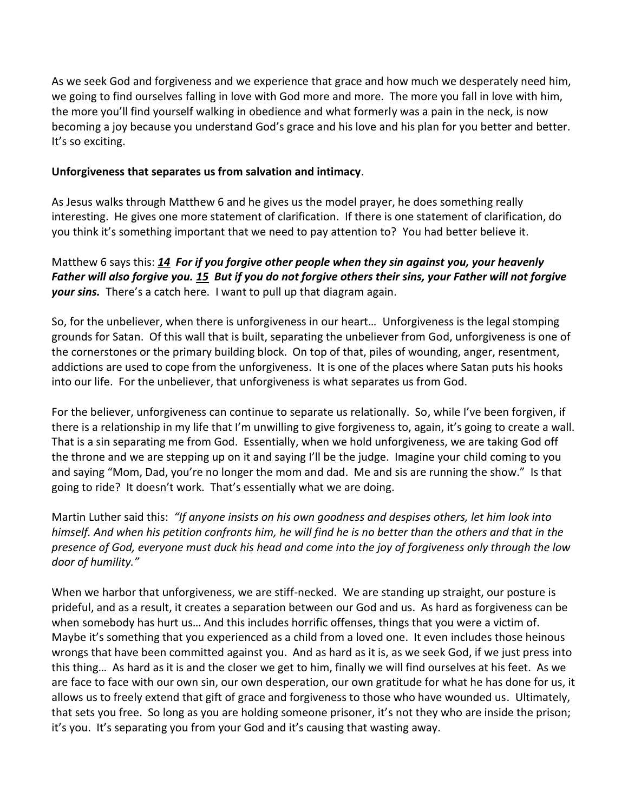As we seek God and forgiveness and we experience that grace and how much we desperately need him, we going to find ourselves falling in love with God more and more. The more you fall in love with him, the more you'll find yourself walking in obedience and what formerly was a pain in the neck, is now becoming a joy because you understand God's grace and his love and his plan for you better and better. It's so exciting.

#### **Unforgiveness that separates us from salvation and intimacy**.

As Jesus walks through Matthew 6 and he gives us the model prayer, he does something really interesting. He gives one more statement of clarification. If there is one statement of clarification, do you think it's something important that we need to pay attention to? You had better believe it.

# Matthew 6 says this: *[14](http://www.studylight.org/desk/?q=mt%206:14&t1=en_niv&sr=1) For if you forgive other people when they sin against you, your heavenly Father will also forgive you. [15](http://www.studylight.org/desk/?q=mt%206:15&t1=en_niv&sr=1) But if you do not forgive others their sins, your Father will not forgive your sins.* There's a catch here. I want to pull up that diagram again.

So, for the unbeliever, when there is unforgiveness in our heart… Unforgiveness is the legal stomping grounds for Satan. Of this wall that is built, separating the unbeliever from God, unforgiveness is one of the cornerstones or the primary building block. On top of that, piles of wounding, anger, resentment, addictions are used to cope from the unforgiveness. It is one of the places where Satan puts his hooks into our life. For the unbeliever, that unforgiveness is what separates us from God.

For the believer, unforgiveness can continue to separate us relationally. So, while I've been forgiven, if there is a relationship in my life that I'm unwilling to give forgiveness to, again, it's going to create a wall. That is a sin separating me from God. Essentially, when we hold unforgiveness, we are taking God off the throne and we are stepping up on it and saying I'll be the judge. Imagine your child coming to you and saying "Mom, Dad, you're no longer the mom and dad. Me and sis are running the show." Is that going to ride? It doesn't work. That's essentially what we are doing.

Martin Luther said this: *"If anyone insists on his own goodness and despises others, let him look into himself. And when his petition confronts him, he will find he is no better than the others and that in the presence of God, everyone must duck his head and come into the joy of forgiveness only through the low door of humility."*

When we harbor that unforgiveness, we are stiff-necked. We are standing up straight, our posture is prideful, and as a result, it creates a separation between our God and us. As hard as forgiveness can be when somebody has hurt us… And this includes horrific offenses, things that you were a victim of. Maybe it's something that you experienced as a child from a loved one. It even includes those heinous wrongs that have been committed against you. And as hard as it is, as we seek God, if we just press into this thing… As hard as it is and the closer we get to him, finally we will find ourselves at his feet. As we are face to face with our own sin, our own desperation, our own gratitude for what he has done for us, it allows us to freely extend that gift of grace and forgiveness to those who have wounded us. Ultimately, that sets you free. So long as you are holding someone prisoner, it's not they who are inside the prison; it's you. It's separating you from your God and it's causing that wasting away.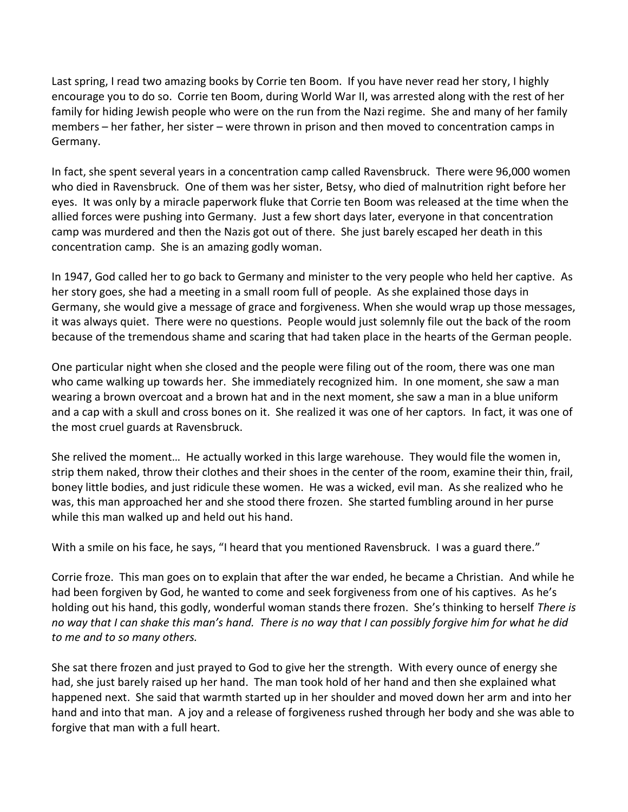Last spring, I read two amazing books by Corrie ten Boom. If you have never read her story, I highly encourage you to do so. Corrie ten Boom, during World War II, was arrested along with the rest of her family for hiding Jewish people who were on the run from the Nazi regime. She and many of her family members – her father, her sister – were thrown in prison and then moved to concentration camps in Germany.

In fact, she spent several years in a concentration camp called Ravensbruck. There were 96,000 women who died in Ravensbruck. One of them was her sister, Betsy, who died of malnutrition right before her eyes. It was only by a miracle paperwork fluke that Corrie ten Boom was released at the time when the allied forces were pushing into Germany. Just a few short days later, everyone in that concentration camp was murdered and then the Nazis got out of there. She just barely escaped her death in this concentration camp. She is an amazing godly woman.

In 1947, God called her to go back to Germany and minister to the very people who held her captive. As her story goes, she had a meeting in a small room full of people. As she explained those days in Germany, she would give a message of grace and forgiveness. When she would wrap up those messages, it was always quiet. There were no questions. People would just solemnly file out the back of the room because of the tremendous shame and scaring that had taken place in the hearts of the German people.

One particular night when she closed and the people were filing out of the room, there was one man who came walking up towards her. She immediately recognized him. In one moment, she saw a man wearing a brown overcoat and a brown hat and in the next moment, she saw a man in a blue uniform and a cap with a skull and cross bones on it. She realized it was one of her captors. In fact, it was one of the most cruel guards at Ravensbruck.

She relived the moment… He actually worked in this large warehouse. They would file the women in, strip them naked, throw their clothes and their shoes in the center of the room, examine their thin, frail, boney little bodies, and just ridicule these women. He was a wicked, evil man. As she realized who he was, this man approached her and she stood there frozen. She started fumbling around in her purse while this man walked up and held out his hand.

With a smile on his face, he says, "I heard that you mentioned Ravensbruck. I was a guard there."

Corrie froze. This man goes on to explain that after the war ended, he became a Christian. And while he had been forgiven by God, he wanted to come and seek forgiveness from one of his captives. As he's holding out his hand, this godly, wonderful woman stands there frozen. She's thinking to herself *There is no way that I can shake this man's hand. There is no way that I can possibly forgive him for what he did to me and to so many others.*

She sat there frozen and just prayed to God to give her the strength. With every ounce of energy she had, she just barely raised up her hand. The man took hold of her hand and then she explained what happened next. She said that warmth started up in her shoulder and moved down her arm and into her hand and into that man. A joy and a release of forgiveness rushed through her body and she was able to forgive that man with a full heart.